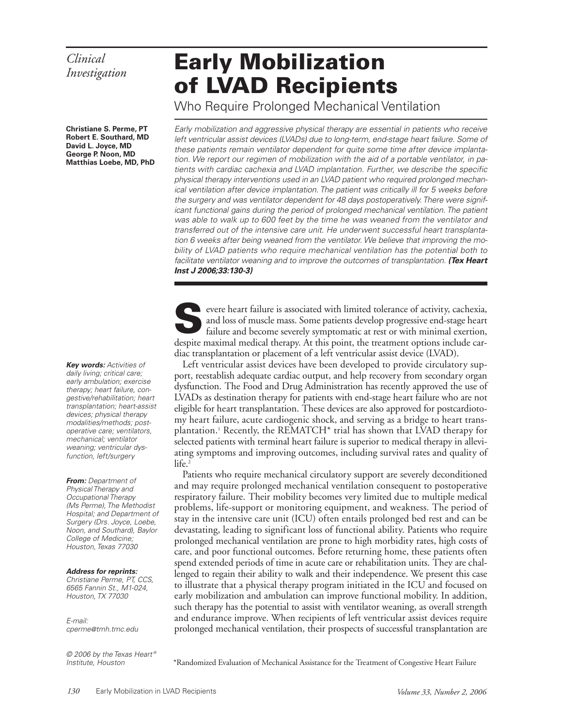# *Clinical*

**Christiane S. Perme, PT Robert E. Southard, MD David L. Joyce, MD George P. Noon, MD Matthias Loebe, MD, PhD**

**Key words:** Activities of daily living; critical care; early ambulation; exercise therapy; heart failure, congestive/rehabilitation; heart transplantation; heart-assist devices; physical therapy modalities/methods; postoperative care; ventilators, mechanical; ventilator weaning; ventricular dysfunction, left/surgery

**From:** Department of Physical Therapy and Occupational Therapy (Ms Perme), The Methodist Hospital; and Department of Surgery (Drs. Joyce, Loebe, Noon, and Southard), Baylor College of Medicine: Houston, Texas 77030

#### **Address for reprints:**

Christiane Perme, PT, CCS, 6565 Fannin St., M1-024, Houston, TX 77030

E-mail: cperme@tmh.tmc.edu

© 2006 by the Texas Heart® Institute, Houston

## **Early Mobilization** of LVAD Recipients

Who Require Prolonged Mechanical Ventilation

Early mobilization and aggressive physical therapy are essential in patients who receive left ventricular assist devices (LVADs) due to long-term, end-stage heart failure. Some of these patients remain ventilator dependent for quite some time after device implantation. We report our regimen of mobilization with the aid of a portable ventilator, in patients with cardiac cachexia and LVAD implantation. Further, we describe the specific physical therapy interventions used in an LVAD patient who required prolonged mechanical ventilation after device implantation. The patient was critically ill for 5 weeks before the surgery and was ventilator dependent for 48 days postoperatively. There were significant functional gains during the period of prolonged mechanical ventilation. The patient was able to walk up to 600 feet by the time he was weaned from the ventilator and transferred out of the intensive care unit. He underwent successful heart transplantation 6 weeks after being weaned from the ventilator. We believe that improving the mobility of LVAD patients who require mechanical ventilation has the potential both to facilitate ventilator weaning and to improve the outcomes of transplantation. **(Tex Heart Inst J 2006;33:130-3)**

evere heart failure is associated with limited tolerance of activity, cachexia, and loss of muscle mass. Some patients develop progressive end-stage heart failure and become severely symptomatic at rest or with minimal exe and loss of muscle mass. Some patients develop progressive end-stage heart failure and become severely symptomatic at rest or with minimal exertion, despite maximal medical therapy. At this point, the treatment options include cardiac transplantation or placement of a left ventricular assist device (LVAD).

Left ventricular assist devices have been developed to provide circulatory support, reestablish adequate cardiac output, and help recovery from secondary organ dysfunction. The Food and Drug Administration has recently approved the use of LVADs as destination therapy for patients with end-stage heart failure who are not eligible for heart transplantation. These devices are also approved for postcardiotomy heart failure, acute cardiogenic shock, and serving as a bridge to heart transplantation.1 Recently, the REMATCH\* trial has shown that LVAD therapy for selected patients with terminal heart failure is superior to medical therapy in alleviating symptoms and improving outcomes, including survival rates and quality of life.<sup>2</sup>

Patients who require mechanical circulatory support are severely deconditioned and may require prolonged mechanical ventilation consequent to postoperative respiratory failure. Their mobility becomes very limited due to multiple medical problems, life-support or monitoring equipment, and weakness. The period of stay in the intensive care unit (ICU) often entails prolonged bed rest and can be devastating, leading to significant loss of functional ability. Patients who require prolonged mechanical ventilation are prone to high morbidity rates, high costs of care, and poor functional outcomes. Before returning home, these patients often spend extended periods of time in acute care or rehabilitation units. They are challenged to regain their ability to walk and their independence. We present this case to illustrate that a physical therapy program initiated in the ICU and focused on early mobilization and ambulation can improve functional mobility. In addition, such therapy has the potential to assist with ventilator weaning, as overall strength and endurance improve. When recipients of left ventricular assist devices require prolonged mechanical ventilation, their prospects of successful transplantation are

\*Randomized Evaluation of Mechanical Assistance for the Treatment of Congestive Heart Failure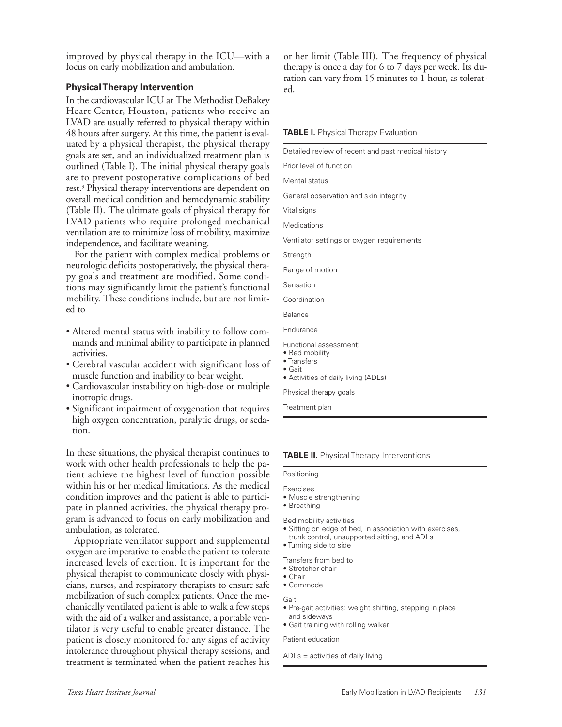improved by physical therapy in the ICU—with a focus on early mobilization and ambulation.

### **Physical Therapy Intervention**

In the cardiovascular ICU at The Methodist DeBakey Heart Center, Houston, patients who receive an LVAD are usually referred to physical therapy within 48 hours after surgery. At this time, the patient is evaluated by a physical therapist, the physical therap goals are set, and an individualized treatment plan outlined (Table I). The initial physical therapy goal are to prevent postoperative complications of berest.<sup>3</sup> Physical therapy interventions are dependent on overall medical condition and hemodynamic stability (Table II). The ultimate goals of physical therapy for LVAD patients who require prolonged mechanic ventilation are to minimize loss of mobility, maximi independence, and facilitate weaning.

For the patient with complex medical problems neurologic deficits postoperatively, the physical ther py goals and treatment are modified. Some cond tions may significantly limit the patient's function mobility. These conditions include, but are not limed to

- Altered mental status with inability to follow commands and minimal ability to participate in planne activities.
- Cerebral vascular accident with significant loss muscle function and inability to bear weight.
- Cardiovascular instability on high-dose or multip inotropic drugs.
- Significant impairment of oxygenation that requires high oxygen concentration, paralytic drugs, or sedation.

In these situations, the physical therapist continues to work with other health professionals to help the patient achieve the highest level of function possible within his or her medical limitations. As the medical condition improves and the patient is able to participate in planned activities, the physical therapy program is advanced to focus on early mobilization and ambulation, as tolerated.

Appropriate ventilator support and supplemental oxygen are imperative to enable the patient to tolerate increased levels of exertion. It is important for the physical therapist to communicate closely with physicians, nurses, and respiratory therapists to ensure safe mobilization of such complex patients. Once the mechanically ventilated patient is able to walk a few steps with the aid of a walker and assistance, a portable ventilator is very useful to enable greater distance. The patient is closely monitored for any signs of activity intolerance throughout physical therapy sessions, and treatment is terminated when the patient reaches his or her limit (Table III). The frequency of physical therapy is once a day for 6 to 7 days per week. Its duration can vary from 15 minutes to 1 hour, as tolerated.

#### **TABLE I.** Physical Therapy Evaluation

| Detailed review of recent and past medical history    |
|-------------------------------------------------------|
| Prior level of function                               |
| Mental status                                         |
| General observation and skin integrity                |
| Vital signs                                           |
| Medications                                           |
| Ventilator settings or oxygen requirements            |
| Strength                                              |
| Range of motion                                       |
| Sensation                                             |
| Coordination                                          |
| <b>Balance</b>                                        |
| Endurance                                             |
| Functional assessment:                                |
| • Bed mobility<br>• Transfers                         |
| $\bullet$ Gait<br>• Activities of daily living (ADLs) |
| Physical therapy goals                                |
|                                                       |

Treatment plan

#### **TABLE II.** Physical Therapy Interventions

#### Positioning

- Exercises
- Muscle strengthening
- Breathing

Bed mobility activities

- Sitting on edge of bed, in association with exercises, trunk control, unsupported sitting, and ADLs
- Turning side to side
- Transfers from bed to
- Stretcher-chair
- Chair
- Commode

Gait

- Pre-gait activities: weight shifting, stepping in place and sideways
- Gait training with rolling walker

#### Patient education

ADLs = activities of daily living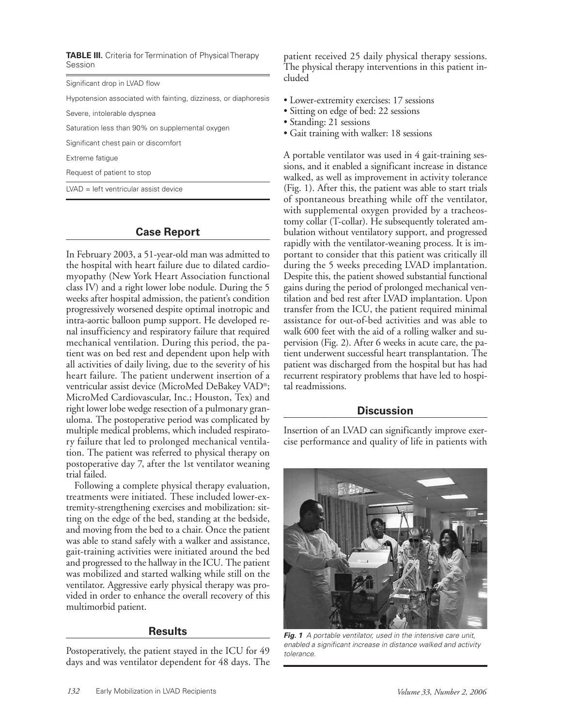**TABLE III.** Criteria for Termination of Physical Therapy Session

Significant drop in LVAD flow

Hypotension associated with fainting, dizziness, or diaphoresis

Severe, intolerable dyspnea

Saturation less than 90% on supplemental oxygen

Significant chest pain or discomfort

Extreme fatigue

Request of patient to stop

LVAD = left ventricular assist device

## **Case Report**

In February 2003, a 51-year-old man was admitted to the hospital with heart failure due to dilated cardiomyopathy (New York Heart Association functional class IV) and a right lower lobe nodule. During the 5 weeks after hospital admission, the patient's condition progressively worsened despite optimal inotropic and intra-aortic balloon pump support. He developed renal insufficiency and respiratory failure that required mechanical ventilation. During this period, the patient was on bed rest and dependent upon help with all activities of daily living, due to the severity of his heart failure. The patient underwent insertion of a ventricular assist device (MicroMed DeBakey VAD®; MicroMed Cardiovascular, Inc.; Houston, Tex) and right lower lobe wedge resection of a pulmonary granuloma. The postoperative period was complicated by multiple medical problems, which included respiratory failure that led to prolonged mechanical ventilation. The patient was referred to physical therapy on postoperative day 7, after the 1st ventilator weaning trial failed.

Following a complete physical therapy evaluation, treatments were initiated. These included lower-extremity-strengthening exercises and mobilization: sitting on the edge of the bed, standing at the bedside, and moving from the bed to a chair. Once the patient was able to stand safely with a walker and assistance, gait-training activities were initiated around the bed and progressed to the hallway in the ICU. The patient was mobilized and started walking while still on the ventilator. Aggressive early physical therapy was provided in order to enhance the overall recovery of this multimorbid patient.

## **Results**

Postoperatively, the patient stayed in the ICU for 49 days and was ventilator dependent for 48 days. The

patient received 25 daily physical therapy sessions. The physical therapy interventions in this patient included

- Lower-extremity exercises: 17 sessions
- Sitting on edge of bed: 22 sessions
- Standing: 21 sessions
- Gait training with walker: 18 sessions

A portable ventilator was used in 4 gait-training sessions, and it enabled a significant increase in distance walked, as well as improvement in activity tolerance (Fig. 1). After this, the patient was able to start trials of spontaneous breathing while off the ventilator, with supplemental oxygen provided by a tracheostomy collar (T-collar). He subsequently tolerated ambulation without ventilatory support, and progressed rapidly with the ventilator-weaning process. It is important to consider that this patient was critically ill during the 5 weeks preceding LVAD implantation. Despite this, the patient showed substantial functional gains during the period of prolonged mechanical ventilation and bed rest after LVAD implantation. Upon transfer from the ICU, the patient required minimal assistance for out-of-bed activities and was able to walk 600 feet with the aid of a rolling walker and supervision (Fig. 2). After 6 weeks in acute care, the patient underwent successful heart transplantation. The patient was discharged from the hospital but has had recurrent respiratory problems that have led to hospital readmissions.

## **Discussion**

Insertion of an LVAD can significantly improve exercise performance and quality of life in patients with



**Fig. 1** A portable ventilator, used in the intensive care unit, enabled a significant increase in distance walked and activity tolerance.